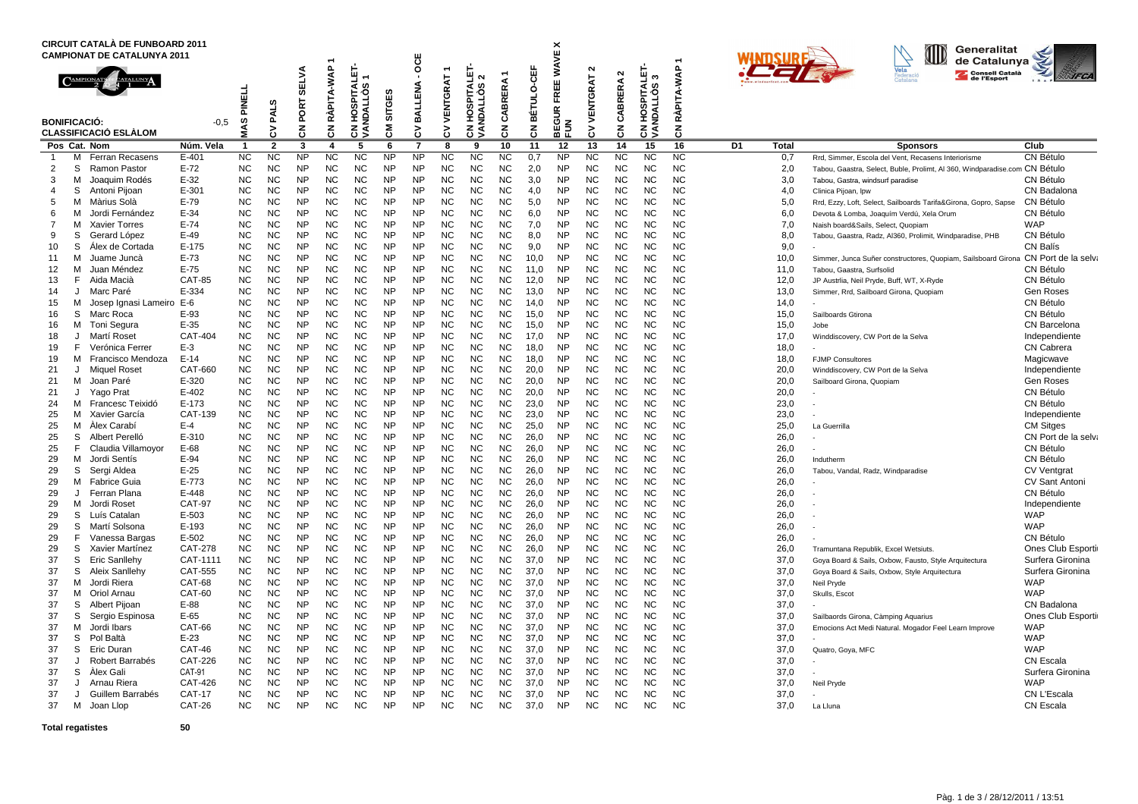|                               |                     | CIRCUIT CATALÀ DE FUNBOARD 2011<br><b>CAMPIONAT DE CATALUNYA 2011</b> |                           |                         |                        | ÷                                      |                              |                                                         |                        |                        |                        |                                                         |                        |                 |                                                            |                               |                        |                                       |                        |    | Generalitat<br>IID<br>de Catalunya |                                                                                        |                                         |
|-------------------------------|---------------------|-----------------------------------------------------------------------|---------------------------|-------------------------|------------------------|----------------------------------------|------------------------------|---------------------------------------------------------|------------------------|------------------------|------------------------|---------------------------------------------------------|------------------------|-----------------|------------------------------------------------------------|-------------------------------|------------------------|---------------------------------------|------------------------|----|------------------------------------|----------------------------------------------------------------------------------------|-----------------------------------------|
|                               | <b>BONIFICACIÓ:</b> | <b>CLASSIFICACIÓ ESLÀLOM</b>                                          | $-0.5$                    | PINELL<br>MAS           | <b>PALS</b><br>3       | <b>SELVA</b><br>PORT<br>$\overline{5}$ | RÀPITA-WAP<br>$\overline{5}$ | <b>SPITALET</b><br>ဖ္<br>۰ö<br>∃<br>≦<br>€<br>ğ<br>ह ड् | SITGES<br>혾            | Ö<br>BALLENA<br>š      | VENTGRAT<br>3          | <b>SPITALET</b><br>$\sim$<br><b>NDALLOS</b><br>Š<br>हुड | ERA.<br>CABRI<br>중     | BÉTULO-CEF<br>중 | FREE WAVE X<br>$\underline{\mathbf{c}}$<br>ΕGU<br>준이<br>HD | $\mathbf{N}$<br>VENTGRAT<br>δ | $\sim$<br>CABRERA<br>중 | <b>CN HOSPITALET-<br/>VANDALLÒS 3</b> | RÀPITA-WAP<br>중        |    |                                    | Consell Català                                                                         | <b>IFCA</b>                             |
|                               |                     | Pos Cat. Nom                                                          | Núm. Vela                 | $\overline{\mathbf{1}}$ | $\overline{2}$         | 3                                      | $\overline{\mathbf{A}}$      | 5                                                       | 6                      | $\overline{7}$         | 8                      | 9                                                       | 10                     | 11              | 12                                                         | 13                            | 14                     | 15                                    | 16                     | D1 | <b>Total</b>                       | <b>Sponsors</b>                                                                        | Club                                    |
| $\mathbf{1}$                  | м                   | <b>Ferran Recasens</b>                                                | $E - 401$                 | <b>NC</b>               | <b>NC</b>              | <b>NP</b>                              | $\overline{NC}$              | <b>NC</b>                                               | <b>NP</b>              | <b>NP</b>              | <b>NC</b>              | <b>NC</b>                                               | <b>NC</b>              | 0,7             | <b>NP</b>                                                  | <b>NC</b>                     | <b>NC</b>              | <b>NC</b>                             | <b>NC</b>              |    | 0,7                                | Rrd, Simmer, Escola del Vent, Recasens Interiorisme                                    | CN Bétulo                               |
| 2                             | S                   | Ramon Pastor                                                          | $E-72$                    | <b>NC</b>               | <b>NC</b>              | <b>NP</b>                              | <b>NC</b>                    | <b>NC</b>                                               | <b>NP</b>              | <b>NP</b>              | <b>NC</b>              | <b>NC</b>                                               | <b>NC</b>              | 2.0             | <b>NP</b>                                                  | <b>NC</b>                     | <b>NC</b>              | <b>NC</b>                             | <b>NC</b>              |    | 2.0                                | Tabou, Gaastra, Select, Buble, Prolimt, AI 360, Windparadise.com CN Bétulo             |                                         |
| 3                             | м                   | Joaquim Rodés                                                         | $E-32$                    | <b>NC</b>               | <b>NC</b>              | <b>NP</b><br><b>NP</b>                 | <b>NC</b>                    | <b>NC</b>                                               | <b>NP</b>              | <b>NP</b>              | <b>NC</b>              | <b>NC</b>                                               | <b>NC</b>              | 3.0             | <b>NP</b>                                                  | N <sub>C</sub>                | <b>NC</b>              | <b>NC</b>                             | <b>NC</b>              |    | 3,0                                | Tabou, Gastra, windsurf paradise                                                       | CN Bétulo                               |
| $\overline{4}$<br>5           | S<br>м              | Antoni Pijoan<br>Màrius Solà                                          | E-301<br>$E-79$           | <b>NC</b><br><b>NC</b>  | <b>NC</b><br><b>NC</b> | <b>NP</b>                              | <b>NC</b><br><b>NC</b>       | <b>NC</b><br><b>NC</b>                                  | <b>NP</b><br><b>NP</b> | <b>NP</b><br><b>NP</b> | <b>NC</b><br><b>NC</b> | <b>NC</b><br><b>NC</b>                                  | <b>NC</b><br><b>NC</b> | 4,0<br>5,0      | <b>NP</b><br><b>NP</b>                                     | <b>NC</b><br><b>NC</b>        | <b>NC</b><br><b>NC</b> | <b>NC</b><br><b>NC</b>                | <b>NC</b><br><b>NC</b> |    | 4,0<br>5,0                         | Clinica Pijoan, Ipw<br>Rrd, Ezzy, Loft, Select, Sailboards Tarifa&Girona, Gopro, Sapse | CN Badalona<br>CN Bétulo                |
| 6                             | м                   | Jordi Fernández                                                       | $E-34$                    | <b>NC</b>               | <b>NC</b>              | <b>NP</b>                              | <b>NC</b>                    | <b>NC</b>                                               | <b>NP</b>              | <b>NP</b>              | <b>NC</b>              | <b>NC</b>                                               | <b>NC</b>              | 6.0             | <b>NP</b>                                                  | <b>NC</b>                     | <b>NC</b>              | <b>NC</b>                             | <b>NC</b>              |    | 6,0                                | Devota & Lomba, Joaquím Verdú, Xela Orum                                               | CN Bétulo                               |
| $\overline{7}$                | м                   | <b>Xavier Torres</b>                                                  | $E-74$                    | <b>NC</b>               | <b>NC</b>              | <b>NP</b>                              | <b>NC</b>                    | <b>NC</b>                                               | <b>NP</b>              | <b>NP</b>              | <b>NC</b>              | <b>NC</b>                                               | <b>NC</b>              | 7,0             | <b>NP</b>                                                  | <b>NC</b>                     | <b>NC</b>              | <b>NC</b>                             | <b>NC</b>              |    | 7,0                                | Naish board&Sails, Select, Quopiam                                                     | <b>WAP</b>                              |
| 9                             | S                   | Gerard López                                                          | $E-49$                    | <b>NC</b>               | <b>NC</b>              | <b>NP</b>                              | <b>NC</b>                    | <b>NC</b>                                               | <b>NP</b>              | <b>NP</b>              | <b>NC</b>              | <b>NC</b>                                               | <b>NC</b>              | 8,0             | <b>NP</b>                                                  | <b>NC</b>                     | <b>NC</b>              | <b>NC</b>                             | <b>NC</b>              |    | 8,0                                | Tabou, Gaastra, Radz, Al360, Prolimit, Windparadise, PHB                               | CN Bétulo                               |
| 10                            | S                   | Alex de Cortada                                                       | E-175                     | <b>NC</b>               | <b>NC</b>              | <b>NP</b>                              | <b>NC</b>                    | <b>NC</b>                                               | <b>NP</b>              | <b>NP</b>              | <b>NC</b>              | <b>NC</b>                                               | <b>NC</b>              | 9,0             | <b>NP</b>                                                  | <b>NC</b>                     | <b>NC</b>              | <b>NC</b>                             | <b>NC</b>              |    | 9,0                                |                                                                                        | <b>CN Balís</b>                         |
| 11                            | М                   | Juame Juncà                                                           | $E-73$                    | <b>NC</b>               | <b>NC</b>              | <b>NP</b>                              | <b>NC</b>                    | <b>NC</b>                                               | <b>NP</b>              | <b>NP</b>              | <b>NC</b>              | <b>NC</b>                                               | <b>NC</b>              | 10,0            | <b>NP</b>                                                  | <b>NC</b>                     | <b>NC</b>              | <b>NC</b>                             | <b>NC</b>              |    | 10,0                               | Simmer, Junca Suñer constructores, Quopiam, Sailsboard Girona CN Port de la selva      |                                         |
| 12                            | м                   | Juan Méndez                                                           | $E-75$                    | <b>NC</b>               | <b>NC</b>              | <b>NP</b>                              | <b>NC</b>                    | <b>NC</b>                                               | <b>NP</b>              | <b>NP</b>              | <b>NC</b>              | <b>NC</b>                                               | <b>NC</b>              | 11.0            | <b>NP</b>                                                  | NC.                           | <b>NC</b>              | N <sub>C</sub>                        | <b>NC</b>              |    | 11.0                               | Tabou, Gaastra, Surfsolid                                                              | CN Bétulo                               |
| 13                            | F.                  | Aida Macià                                                            | <b>CAT-85</b>             | <b>NC</b>               | <b>NC</b>              | <b>NP</b>                              | <b>NC</b>                    | <b>NC</b>                                               | <b>NP</b>              | <b>NP</b>              | <b>NC</b>              | <b>NC</b>                                               | <b>NC</b>              | 12.0            | NP.                                                        | <b>NC</b>                     | <b>NC</b>              | <b>NC</b>                             | <b>NC</b>              |    | 12,0                               | JP Austrlia, Neil Pryde, Buff, WT, X-Ryde                                              | CN Bétulo                               |
| 14                            | J                   | Marc Paré                                                             | E-334                     | <b>NC</b>               | <b>NC</b>              | <b>NP</b>                              | <b>NC</b>                    | <b>NC</b>                                               | <b>NP</b>              | <b>NP</b>              | <b>NC</b>              | <b>NC</b>                                               | <b>NC</b>              | 13,0            | <b>NP</b>                                                  | <b>NC</b>                     | <b>NC</b>              | <b>NC</b>                             | <b>NC</b>              |    | 13,0                               | Simmer, Rrd, Sailboard Girona, Quopiam                                                 | <b>Gen Roses</b>                        |
| 15<br>16                      | м<br>S              | Josep Ignasi Lameiro E-6<br>Marc Roca                                 | E-93                      | <b>NC</b><br><b>NC</b>  | <b>NC</b><br><b>NC</b> | <b>NP</b><br><b>NP</b>                 | <b>NC</b><br><b>NC</b>       | <b>NC</b><br><b>NC</b>                                  | <b>NP</b><br><b>NP</b> | <b>NP</b><br><b>NP</b> | <b>NC</b><br><b>NC</b> | <b>NC</b><br><b>NC</b>                                  | <b>NC</b><br><b>NC</b> | 14,0<br>15,0    | <b>NP</b><br><b>NP</b>                                     | <b>NC</b><br><b>NC</b>        | <b>NC</b><br><b>NC</b> | <b>NC</b><br><b>NC</b>                | <b>NC</b><br><b>NC</b> |    | 14,0<br>15,0                       | Sailboards Gtirona                                                                     | CN Bétulo<br>CN Bétulo                  |
| 16                            | м                   | Toni Segura                                                           | $E-35$                    | <b>NC</b>               | <b>NC</b>              | <b>NP</b>                              | <b>NC</b>                    | <b>NC</b>                                               | <b>NP</b>              | <b>NP</b>              | <b>NC</b>              | <b>NC</b>                                               | <b>NC</b>              | 15,0            | <b>NP</b>                                                  | <b>NC</b>                     | <b>NC</b>              | <b>NC</b>                             | <b>NC</b>              |    | 15,0                               | Jobe                                                                                   | CN Barcelona                            |
| 18                            | J                   | Martí Roset                                                           | <b>CAT-404</b>            | <b>NC</b>               | <b>NC</b>              | <b>NP</b>                              | <b>NC</b>                    | <b>NC</b>                                               | <b>NP</b>              | <b>NP</b>              | <b>NC</b>              | <b>NC</b>                                               | <b>NC</b>              | 17,0            | <b>NP</b>                                                  | <b>NC</b>                     | <b>NC</b>              | <b>NC</b>                             | <b>NC</b>              |    | 17,0                               | Winddiscovery, CW Port de la Selva                                                     | Independiente                           |
| 19                            | F.                  | Verónica Ferrer                                                       | $E-3$                     | <b>NC</b>               | <b>NC</b>              | <b>NP</b>                              | <b>NC</b>                    | <b>NC</b>                                               | <b>NP</b>              | <b>NP</b>              | <b>NC</b>              | <b>NC</b>                                               | <b>NC</b>              | 18,0            | <b>NP</b>                                                  | <b>NC</b>                     | <b>NC</b>              | <b>NC</b>                             | <b>NC</b>              |    | 18,0                               |                                                                                        | <b>CN Cabrera</b>                       |
| 19                            | м                   | Francisco Mendoza                                                     | $E-14$                    | <b>NC</b>               | <b>NC</b>              | <b>NP</b>                              | <b>NC</b>                    | <b>NC</b>                                               | <b>NP</b>              | <b>NP</b>              | <b>NC</b>              | <b>NC</b>                                               | <b>NC</b>              | 18,0            | <b>NP</b>                                                  | <b>NC</b>                     | <b>NC</b>              | <b>NC</b>                             | <b>NC</b>              |    | 18,0                               | <b>FJMP Consultores</b>                                                                | Magicwave                               |
| 21                            | J                   | <b>Miquel Roset</b>                                                   | CAT-660                   | <b>NC</b>               | <b>NC</b>              | <b>NP</b>                              | <b>NC</b>                    | <b>NC</b>                                               | <b>NP</b>              | <b>NP</b>              | <b>NC</b>              | <b>NC</b>                                               | <b>NC</b>              | 20,0            | <b>NP</b>                                                  | <b>NC</b>                     | <b>NC</b>              | <b>NC</b>                             | <b>NC</b>              |    | 20,0                               | Winddiscovery, CW Port de la Selva                                                     | Independiente                           |
| 21                            | м                   | Joan Paré                                                             | $E - 320$                 | <b>NC</b>               | <b>NC</b>              | <b>NP</b>                              | <b>NC</b>                    | <b>NC</b>                                               | <b>NP</b>              | <b>NP</b>              | <b>NC</b>              | <b>NC</b>                                               | <b>NC</b>              | 20.0            | <b>NP</b>                                                  | <b>NC</b>                     | <b>NC</b>              | <b>NC</b>                             | <b>NC</b>              |    | 20,0                               | Sailboard Girona, Quopiam                                                              | Gen Roses                               |
| 21                            | J                   | Yago Prat                                                             | $E - 402$                 | <b>NC</b>               | <b>NC</b>              | <b>NP</b>                              | <b>NC</b>                    | <b>NC</b>                                               | <b>NP</b>              | <b>NP</b>              | <b>NC</b>              | <b>NC</b>                                               | <b>NC</b>              | 20.0            | NP.                                                        | <b>NC</b>                     | <b>NC</b>              | <b>NC</b>                             | <b>NC</b>              |    | 20.0                               |                                                                                        | CN Bétulo                               |
| 24                            |                     | M Francesc Teixidó                                                    | E-173                     | <b>NC</b>               | <b>NC</b>              | <b>NP</b>                              | <b>NC</b>                    | <b>NC</b>                                               | <b>NP</b>              | <b>NP</b>              | <b>NC</b>              | <b>NC</b>                                               | <b>NC</b>              | 23,0            | <b>NP</b>                                                  | <b>NC</b>                     | <b>NC</b>              | <b>NC</b>                             | <b>NC</b>              |    | 23,0                               |                                                                                        | CN Bétulo                               |
| 25                            | M                   | Xavier García                                                         | CAT-139                   | <b>NC</b>               | <b>NC</b>              | <b>NP</b><br><b>NP</b>                 | <b>NC</b><br><b>NC</b>       | <b>NC</b><br><b>NC</b>                                  | <b>NP</b>              | <b>NP</b>              | <b>NC</b>              | <b>NC</b>                                               | <b>NC</b>              | 23,0            | <b>NP</b>                                                  | <b>NC</b><br><b>NC</b>        | <b>NC</b><br><b>NC</b> | <b>NC</b><br><b>NC</b>                | <b>NC</b>              |    | 23,0                               |                                                                                        | Independiente                           |
| 25<br>25                      | M<br>S              | Álex Carabí<br>Albert Perelló                                         | $E-4$<br>$E - 310$        | <b>NC</b><br><b>NC</b>  | <b>NC</b><br><b>NC</b> | <b>NP</b>                              | <b>NC</b>                    | <b>NC</b>                                               | <b>NP</b><br><b>NP</b> | <b>NP</b><br><b>NP</b> | <b>NC</b><br><b>NC</b> | <b>NC</b><br><b>NC</b>                                  | <b>NC</b><br><b>NC</b> | 25,0<br>26.0    | <b>NP</b><br><b>NP</b>                                     | <b>NC</b>                     | <b>NC</b>              | <b>NC</b>                             | <b>NC</b><br><b>NC</b> |    | 25,0<br>26.0                       | La Guerrilla                                                                           | <b>CM Sitges</b><br>CN Port de la selva |
| 25                            | F.                  | Claudia Villamoyor                                                    | E-68                      | <b>NC</b>               | <b>NC</b>              | <b>NP</b>                              | <b>NC</b>                    | <b>NC</b>                                               | <b>NP</b>              | <b>NP</b>              | <b>NC</b>              | <b>NC</b>                                               | <b>NC</b>              | 26,0            | <b>NP</b>                                                  | <b>NC</b>                     | <b>NC</b>              | <b>NC</b>                             | <b>NC</b>              |    | 26,0                               |                                                                                        | CN Bétulo                               |
| 29                            |                     | M Jordi Sentís                                                        | E-94                      | <b>NC</b>               | <b>NC</b>              | <b>NP</b>                              | <b>NC</b>                    | <b>NC</b>                                               | <b>NP</b>              | <b>NP</b>              | <b>NC</b>              | <b>NC</b>                                               | <b>NC</b>              | 26,0            | <b>NP</b>                                                  | <b>NC</b>                     | <b>NC</b>              | <b>NC</b>                             | <b>NC</b>              |    | 26,0                               | Indutherm                                                                              | CN Bétulo                               |
| 29                            | S                   | Sergi Aldea                                                           | $E-25$                    | <b>NC</b>               | <b>NC</b>              | <b>NP</b>                              | <b>NC</b>                    | <b>NC</b>                                               | <b>NP</b>              | <b>NP</b>              | <b>NC</b>              | <b>NC</b>                                               | <b>NC</b>              | 26,0            | <b>NP</b>                                                  | <b>NC</b>                     | <b>NC</b>              | <b>NC</b>                             | <b>NC</b>              |    | 26,0                               | Tabou, Vandal, Radz, Windparadise                                                      | <b>CV Ventgrat</b>                      |
| 29                            |                     | M Fabrice Guia                                                        | $E - 773$                 | <b>NC</b>               | <b>NC</b>              | <b>NP</b>                              | <b>NC</b>                    | <b>NC</b>                                               | <b>NP</b>              | <b>NP</b>              | <b>NC</b>              | <b>NC</b>                                               | <b>NC</b>              | 26.0            | <b>NP</b>                                                  | <b>NC</b>                     | <b>NC</b>              | <b>NC</b>                             | <b>NC</b>              |    | 26,0                               |                                                                                        | <b>CV Sant Antoni</b>                   |
| 29                            | J                   | Ferran Plana                                                          | $E - 448$                 | <b>NC</b>               | <b>NC</b>              | <b>NP</b>                              | <b>NC</b>                    | <b>NC</b>                                               | <b>NP</b>              | <b>NP</b>              | <b>NC</b>              | <b>NC</b>                                               | <b>NC</b>              | 26.0            | <b>NP</b>                                                  | <b>NC</b>                     | <b>NC</b>              | <b>NC</b>                             | <b>NC</b>              |    | 26.0                               |                                                                                        | CN Bétulo                               |
| 29                            | м                   | Jordi Roset                                                           | <b>CAT-97</b>             | <b>NC</b>               | <b>NC</b>              | <b>NP</b>                              | <b>NC</b>                    | <b>NC</b>                                               | <b>NP</b>              | <b>NP</b>              | <b>NC</b>              | <b>NC</b>                                               | <b>NC</b>              | 26,0            | <b>NP</b>                                                  | <b>NC</b>                     | <b>NC</b>              | <b>NC</b>                             | <b>NC</b>              |    | 26,0                               |                                                                                        | Independiente                           |
| 29                            | S                   | Luís Catalan                                                          | $E - 503$                 | <b>NC</b>               | <b>NC</b>              | <b>NP</b>                              | <b>NC</b>                    | <b>NC</b>                                               | <b>NP</b>              | <b>NP</b>              | <b>NC</b>              | <b>NC</b>                                               | <b>NC</b>              | 26.0            | <b>NP</b>                                                  | <b>NC</b>                     | <b>NC</b>              | <b>NC</b>                             | <b>NC</b>              |    | 26,0                               |                                                                                        | <b>WAP</b>                              |
| 29                            | S                   | Martí Solsona                                                         | E-193                     | <b>NC</b>               | <b>NC</b>              | <b>NP</b>                              | <b>NC</b>                    | <b>NC</b>                                               | <b>NP</b>              | <b>NP</b>              | <b>NC</b>              | <b>NC</b>                                               | <b>NC</b>              | 26,0            | <b>NP</b>                                                  | <b>NC</b>                     | <b>NC</b>              | <b>NC</b>                             | <b>NC</b>              |    | 26,0                               |                                                                                        | <b>WAP</b>                              |
| 29<br>29                      | F<br>S              | Vanessa Bargas<br>Xavier Martínez                                     | $E-502$<br><b>CAT-278</b> | <b>NC</b><br><b>NC</b>  | <b>NC</b><br><b>NC</b> | <b>NP</b><br><b>NP</b>                 | <b>NC</b><br><b>NC</b>       | <b>NC</b><br><b>NC</b>                                  | <b>NP</b><br><b>NP</b> | <b>NP</b><br><b>NP</b> | <b>NC</b><br><b>NC</b> | <b>NC</b><br><b>NC</b>                                  | <b>NC</b><br><b>NC</b> | 26,0<br>26.0    | <b>NP</b><br><b>NP</b>                                     | <b>NC</b><br><b>NC</b>        | <b>NC</b><br><b>NC</b> | <b>NC</b><br><b>NC</b>                | <b>NC</b><br><b>NC</b> |    | 26,0<br>26,0                       | Tramuntana Republik, Excel Wetsiuts                                                    | CN Bétulo<br>Ones Club Esporti          |
| 37                            | S                   | <b>Eric Sanllehy</b>                                                  | CAT-1111                  | <b>NC</b>               | <b>NC</b>              | <b>NP</b>                              | <b>NC</b>                    | <b>NC</b>                                               | <b>NP</b>              | <b>NP</b>              | <b>NC</b>              | <b>NC</b>                                               | <b>NC</b>              | 37,0            | <b>NP</b>                                                  | <b>NC</b>                     | <b>NC</b>              | <b>NC</b>                             | <b>NC</b>              |    | 37,0                               | Goya Board & Sails, Oxbow, Fausto, Style Arquitectura                                  | Surfera Gironina                        |
| 37                            | S                   | Aleix Sanllehy                                                        | <b>CAT-555</b>            | <b>NC</b>               | <b>NC</b>              | <b>NP</b>                              | <b>NC</b>                    | <b>NC</b>                                               | <b>NP</b>              | <b>NP</b>              | <b>NC</b>              | <b>NC</b>                                               | <b>NC</b>              | 37,0            | <b>NP</b>                                                  | <b>NC</b>                     | <b>NC</b>              | <b>NC</b>                             | <b>NC</b>              |    | 37,0                               | Goya Board & Sails, Oxbow, Style Arquitectura                                          | Surfera Gironina                        |
| 37                            | м                   | Jordi Riera                                                           | <b>CAT-68</b>             | <b>NC</b>               | <b>NC</b>              | <b>NP</b>                              | <b>NC</b>                    | <b>NC</b>                                               | <b>NP</b>              | <b>NP</b>              | <b>NC</b>              | <b>NC</b>                                               | <b>NC</b>              | 37.0            | <b>NP</b>                                                  | NC.                           | <b>NC</b>              | <b>NC</b>                             | <b>NC</b>              |    | 37,0                               | Neil Pryde                                                                             | <b>WAP</b>                              |
| 37                            | м                   | Oriol Arnau                                                           | CAT-60                    | <b>NC</b>               | <b>NC</b>              | <b>NP</b>                              | <b>NC</b>                    | <b>NC</b>                                               | <b>NP</b>              | <b>NP</b>              | <b>NC</b>              | <b>NC</b>                                               | <b>NC</b>              | 37.0            | <b>NP</b>                                                  | <b>NC</b>                     | <b>NC</b>              | <b>NC</b>                             | <b>NC</b>              |    | 37,0                               | Skulls, Escot                                                                          | <b>WAP</b>                              |
| 37                            | S                   | Albert Pijoan                                                         | E-88                      | <b>NC</b>               | <b>NC</b>              | <b>NP</b>                              | <b>NC</b>                    | <b>NC</b>                                               | <b>NP</b>              | <b>NP</b>              | <b>NC</b>              | <b>NC</b>                                               | <b>NC</b>              | 37.0            | <b>NP</b>                                                  | <b>NC</b>                     | <b>NC</b>              | <b>NC</b>                             | <b>NC</b>              |    | 37.0                               |                                                                                        | CN Badalona                             |
| 37                            | S                   | Sergio Espinosa                                                       | $E-65$                    | <b>NC</b>               | <b>NC</b>              | <b>NP</b>                              | <b>NC</b>                    | <b>NC</b>                                               | <b>NP</b>              | <b>NP</b>              | <b>NC</b>              | <b>NC</b>                                               | <b>NC</b>              | 37.0            | <b>NP</b>                                                  | <b>NC</b>                     | <b>NC</b>              | <b>NC</b>                             | <b>NC</b>              |    | 37,0                               | Sailbaords Girona, Càmping Aquarius                                                    | Ones Club Esporti                       |
| 37                            | М                   | Jordi Ibars                                                           | <b>CAT-66</b>             | <b>NC</b>               | <b>NC</b>              | <b>NP</b>                              | <b>NC</b>                    | <b>NC</b>                                               | <b>NP</b>              | <b>NP</b>              | <b>NC</b>              | <b>NC</b>                                               | <b>NC</b>              | 37.0            | <b>NP</b>                                                  | <b>NC</b>                     | <b>NC</b>              | <b>NC</b>                             | <b>NC</b>              |    | 37,0                               | Emocions Act Medi Natural. Mogador Feel Learn Improve                                  | <b>WAP</b>                              |
| 37                            | S                   | Pol Baltà                                                             | $E-23$                    | <b>NC</b>               | <b>NC</b>              | <b>NP</b>                              | <b>NC</b>                    | <b>NC</b>                                               | <b>NP</b>              | <b>NP</b>              | <b>NC</b>              | <b>NC</b>                                               | <b>NC</b>              | 37,0            | <b>NP</b>                                                  | NC                            | <b>NC</b>              | <b>NC</b>                             | <b>NC</b>              |    | 37,0                               |                                                                                        | <b>WAP</b>                              |
| 37                            | S                   | Eric Duran                                                            | <b>CAT-46</b>             | <b>NC</b>               | <b>NC</b>              | <b>NP</b>                              | <b>NC</b>                    | <b>NC</b>                                               | <b>NP</b>              | <b>NP</b>              | NC                     | <b>NC</b>                                               | <b>NC</b>              | 37.0            | <b>NP</b>                                                  | <b>NC</b>                     | <b>NC</b>              | <b>NC</b>                             | <b>NC</b>              |    | 37,0                               | Quatro, Goya, MFC                                                                      | <b>WAP</b>                              |
| 37                            | J                   | Robert Barrabés                                                       | <b>CAT-226</b>            | <b>NC</b><br><b>NC</b>  | <b>NC</b>              | <b>NP</b><br><b>NP</b>                 | <b>NC</b>                    | <b>NC</b>                                               | <b>NP</b>              | <b>NP</b><br><b>NP</b> | <b>NC</b>              | <b>NC</b>                                               | <b>NC</b>              | 37.0            | <b>NP</b>                                                  | <b>NC</b>                     | <b>NC</b>              | <b>NC</b>                             | <b>NC</b>              |    | 37.0                               |                                                                                        | <b>CN Escala</b>                        |
| 37<br>37                      | S<br>J              | Alex Gali<br>Arnau Riera                                              | CAT-91<br><b>CAT-426</b>  | <b>NC</b>               | <b>NC</b><br><b>NC</b> | <b>NP</b>                              | <b>NC</b><br><b>NC</b>       | <b>NC</b><br><b>NC</b>                                  | <b>NP</b><br><b>NP</b> | <b>NP</b>              | <b>NC</b><br><b>NC</b> | <b>NC</b><br><b>NC</b>                                  | <b>NC</b><br><b>NC</b> | 37,0<br>37,0    | <b>NP</b><br><b>NP</b>                                     | <b>NC</b><br><b>NC</b>        | <b>NC</b><br>NC        | <b>NC</b><br><b>NC</b>                | <b>NC</b><br><b>NC</b> |    | 37,0<br>37,0                       | Neil Pryde                                                                             | Surfera Gironina<br><b>WAP</b>          |
| 37                            | J                   | Guillem Barrabés                                                      | <b>CAT-17</b>             | <b>NC</b>               | <b>NC</b>              | <b>NP</b>                              | <b>NC</b>                    | <b>NC</b>                                               | <b>NP</b>              | <b>NP</b>              | <b>NC</b>              | <b>NC</b>                                               | <b>NC</b>              | 37.0            | <b>NP</b>                                                  | <b>NC</b>                     | <b>NC</b>              | <b>NC</b>                             | <b>NC</b>              |    | 37,0                               |                                                                                        | CN L'Escala                             |
| 37                            | м                   | Joan Llop                                                             | <b>CAT-26</b>             | NC                      | <b>NC</b>              | <b>NP</b>                              | <b>NC</b>                    | <b>NC</b>                                               | <b>NP</b>              | <b>NP</b>              | <b>NC</b>              | <b>NC</b>                                               | <b>NC</b>              | 37.0            | <b>NP</b>                                                  | <b>NC</b>                     | <b>NC</b>              | <b>NC</b>                             | <b>NC</b>              |    | 37.0                               | La Lluna                                                                               | CN Escala                               |
| 50<br><b>Total regatistes</b> |                     |                                                                       |                           |                         |                        |                                        |                              |                                                         |                        |                        |                        |                                                         |                        |                 |                                                            |                               |                        |                                       |                        |    |                                    |                                                                                        |                                         |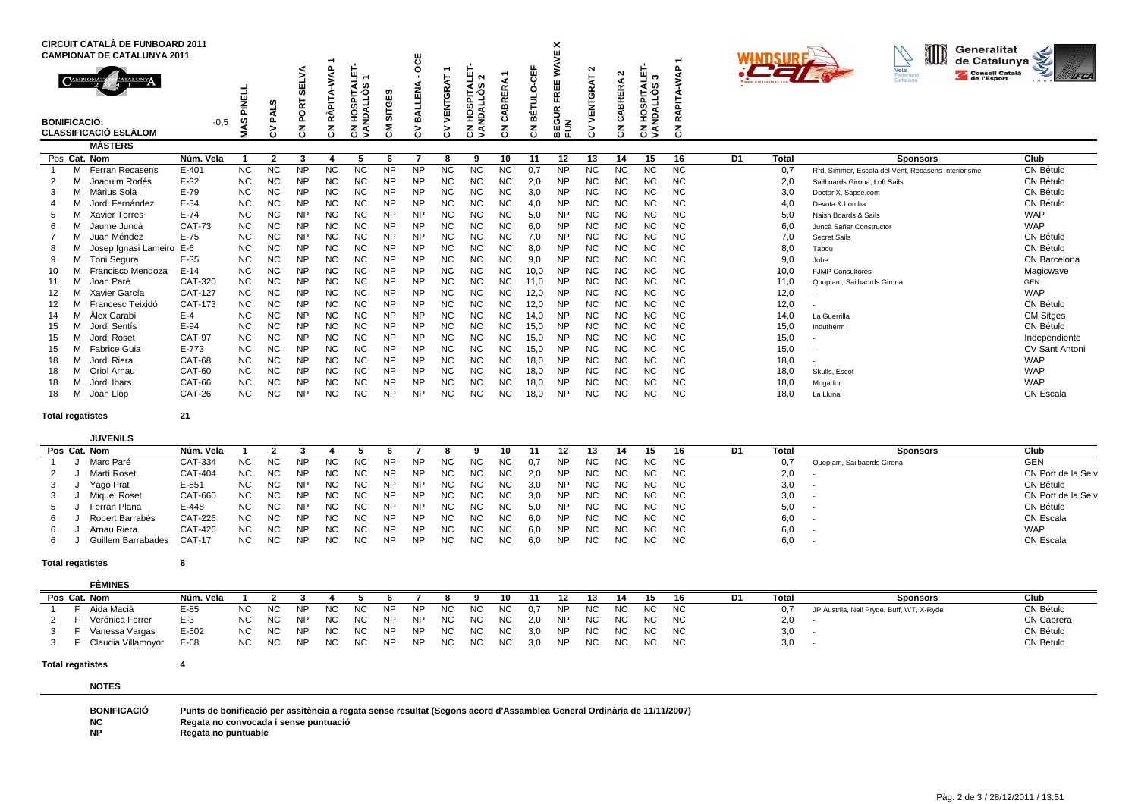|                                                  |   | <b>CIRCUIT CATALÀ DE FUNBOARD 2011</b><br><b>CAMPIONAT DE CATALUNYA 2011</b><br><b>EATALUNY</b> |                 | PINELI                 | ഗ<br>⋖                 | <b>SELV</b><br>PORT | $\Omega$<br>Ş<br>PITA | 当<br>↽<br>ഗ<br>۰O<br>분.<br><b>NDALL</b><br>ᢆ | m<br>Ŵ<br>ত<br>등 | <b>OCE</b><br>◀<br>z<br>픸 | 4<br>VENTGR            | $\sim$<br>cr.<br>۰ö<br>NDALL <sub>I</sub><br>ក<br>m<br>C | RER<br>⋒<br>d          | 说<br>റ       | ×<br>¥<br>3<br><b>FREE</b> | ີ<br>눙<br><b>TGR</b><br>z<br>画 | $\sim$<br><b>BRERA</b> | Ξ.<br>ৰ ৩<br>통의<br>w<br>ಕ | WAP<br>⋖<br><b>RÀPIT,</b> |                |              | ID<br>Generalitat<br>de Catalunya<br><b>Vela</b><br>Federació<br>Catalana<br><b>Consell Català</b><br>de l'Esport | <b>IFCA</b>                   |
|--------------------------------------------------|---|-------------------------------------------------------------------------------------------------|-----------------|------------------------|------------------------|---------------------|-----------------------|----------------------------------------------|------------------|---------------------------|------------------------|----------------------------------------------------------|------------------------|--------------|----------------------------|--------------------------------|------------------------|---------------------------|---------------------------|----------------|--------------|-------------------------------------------------------------------------------------------------------------------|-------------------------------|
| <b>BONIFICACIÓ:</b>                              |   | <b>CLASSIFICACIÓ ESLÀLOM</b>                                                                    | $-0,5$          | 45<br>ś                | ௨<br>š                 | $\overline{5}$      | Ā<br>중                | 웊<br>ह ड्र                                   | 동                | ā<br>Б                    | ∍<br>ن                 | ξš                                                       | ن<br>ج<br>"            | 岀<br>중       | BEGUR<br>FUN               | 5<br>دءَ                       | ت<br>중                 | 오<br>è<br>ह ड्र           | 중                         |                |              |                                                                                                                   |                               |
|                                                  |   | <b>MÀSTERS</b>                                                                                  |                 |                        |                        |                     |                       |                                              |                  |                           |                        |                                                          |                        |              |                            |                                |                        |                           |                           |                |              |                                                                                                                   |                               |
|                                                  |   | Pos Cat. Nom                                                                                    | Núm. Vela       |                        | $\mathbf{r}$           | 3                   |                       |                                              |                  |                           | 8                      | ۰q                                                       | 10                     | 11           | 12                         | 13                             | 14                     | 15                        | 16                        | D <sub>1</sub> | <b>Total</b> | <b>Sponsors</b>                                                                                                   | Club                          |
|                                                  | м | Ferran Recasens                                                                                 | $E-401$         | $\overline{NC}$        | <b>NC</b>              | <b>NP</b>           | <b>NC</b>             | <b>NC</b>                                    | <b>NP</b>        | <b>NP</b>                 | <b>NC</b>              | <b>NC</b>                                                | <b>NC</b>              | 0.7          | NP                         | NC                             | ΝC                     | <b>NC</b>                 | <b>NC</b>                 |                | 0,7          | Rrd. Simmer. Escola del Vent. Recasens Interiorisme                                                               | CN Bétulo                     |
|                                                  |   | Joaquim Rodés                                                                                   | $E-32$          | <b>NC</b>              | <b>NC</b>              | <b>NP</b>           | <b>NC</b>             | <b>NC</b>                                    | <b>NP</b>        | <b>NP</b>                 | <b>NC</b>              | <b>NC</b>                                                | <b>NC</b>              | 2,0          | <b>NP</b>                  | NC                             | NC.                    | <b>NC</b>                 | <b>NC</b>                 |                | 2,0          | Sailboards Girona, Loft Sails                                                                                     | CN Bétulo                     |
|                                                  |   | M Màrius Solà                                                                                   | $E-79$          | <b>NC</b>              | <b>NC</b>              | <b>NP</b>           | <b>NC</b>             | <b>NC</b>                                    | <b>NP</b>        | <b>NP</b>                 | <b>NC</b>              | <b>NC</b>                                                | <b>NC</b>              | 3,0          | <b>NP</b>                  | <b>NC</b>                      | NC.                    | <b>NC</b>                 | <b>NC</b>                 |                | 3,0          | Doctor X, Sapse.com                                                                                               | CN Bétulo                     |
|                                                  |   | Jordi Fernández                                                                                 | $E-34$          | <b>NC</b>              | <b>NC</b>              | NΡ                  | NC                    | NC                                           | NΡ               | <b>NP</b>                 | <b>NC</b>              | <b>NC</b>                                                | <b>NC</b>              | 4,0          | <b>NP</b>                  | <b>NC</b>                      | ΝC                     | <b>NC</b>                 | <b>NC</b>                 |                | 4,0          | Devota & Lomba                                                                                                    | CN Bétulo                     |
|                                                  |   | <b>Xavier Torres</b>                                                                            | $E-74$          | <b>NC</b>              | <b>NC</b>              | <b>NP</b>           | <b>NC</b>             | <b>NC</b>                                    | <b>NP</b>        | <b>NP</b>                 | <b>NC</b>              | <b>NC</b>                                                | <b>NC</b>              | 5,0          | <b>NP</b>                  | <b>NC</b>                      | <b>NC</b>              | <b>NC</b>                 | <b>NC</b>                 |                | 5,0          | Naish Boards & Sails                                                                                              | <b>WAP</b>                    |
|                                                  |   | Jaume Juncà                                                                                     | <b>CAT-73</b>   | <b>NC</b>              | <b>NC</b>              | <b>NP</b>           | <b>NC</b>             | <b>NC</b>                                    | <b>NP</b>        | <b>NP</b>                 | <b>NC</b>              | <b>NC</b>                                                | <b>NC</b>              | 6,0          | <b>NP</b>                  | NC                             | NC                     | <b>NC</b>                 | <b>NC</b>                 |                | 6,0          | Juncà Sañer Constructor                                                                                           | <b>WAP</b>                    |
|                                                  |   | Juan Méndez                                                                                     | $E-75$          | <b>NC</b>              | <b>NC</b>              | <b>NP</b>           | <b>NC</b>             | NC                                           | <b>NP</b>        | <b>NP</b>                 | <b>NC</b>              | <b>NC</b>                                                | <b>NC</b>              | 7,0          | <b>NP</b>                  | NC                             | ΝC                     | <b>NC</b>                 | <b>NC</b>                 |                | 7,0          | Secret Sails                                                                                                      | CN Bétulo                     |
|                                                  |   | Josep Ignasi Lameiro E-6                                                                        |                 | <b>NC</b>              | <b>NC</b>              | <b>NP</b>           | <b>NC</b>             | NC                                           | <b>NP</b>        | <b>NP</b>                 | <b>NC</b>              | <b>NC</b>                                                | <b>NC</b>              | 8.0          | <b>NP</b>                  | NC                             | ΝC                     | <b>NC</b>                 | <b>NC</b>                 |                | 8,0          | Tabou                                                                                                             | CN Bétulo                     |
|                                                  |   | M Toni Segura                                                                                   | E-35            | <b>NC</b>              | <b>NC</b>              | <b>NP</b>           | NC                    | NC                                           | <b>NP</b>        | <b>NP</b>                 | <b>NC</b>              | <b>NC</b>                                                | <b>NC</b>              | 9,0          | <b>NP</b>                  | NC                             | NC                     | <b>NC</b>                 | <b>NC</b>                 |                | 9,0          | Jobe                                                                                                              | CN Barcelona                  |
| 10                                               |   | Francisco Mendoza                                                                               | $E-14$          | <b>NC</b>              | <b>NC</b>              | <b>NP</b>           | <b>NC</b>             | <b>NC</b>                                    | NP               | <b>NP</b>                 | <b>NC</b>              | <b>NC</b>                                                | <b>NC</b>              | 10.0         | <b>NP</b>                  | <b>NC</b>                      | <b>NC</b>              | <b>NC</b>                 | <b>NC</b>                 |                | 10.0         | <b>FJMP Consultores</b>                                                                                           | Magicwave                     |
| 11                                               |   | Joan Paré                                                                                       | CAT-320         | <b>NC</b>              | <b>NC</b>              | <b>NP</b>           | <b>NC</b>             | <b>NC</b>                                    | <b>NP</b>        | <b>NP</b>                 | <b>NC</b>              | <b>NC</b>                                                | <b>NC</b>              | 11,0         | <b>NP</b>                  | <b>NC</b>                      | <b>NC</b>              | <b>NC</b>                 | <b>NC</b>                 |                | 11,0         | Quopiam, Sailbaords Girona                                                                                        | <b>GEN</b>                    |
| 12                                               |   | Xavier García                                                                                   | CAT-127         | <b>NC</b>              | <b>NC</b>              | <b>NP</b>           | NC                    | NC                                           | NP               | <b>NP</b>                 | <b>NC</b>              | <b>NC</b>                                                | <b>NC</b>              | 12,0         | <b>NP</b>                  | NC                             | NC                     | ΝC                        | <b>NC</b>                 |                | 12,0         |                                                                                                                   | <b>WAP</b>                    |
|                                                  |   | Francesc Teixidó                                                                                | CAT-173         | <b>NC</b>              | <b>NC</b>              | <b>NP</b>           | <b>NC</b>             | NC                                           | <b>NP</b>        | <b>NP</b>                 | <b>NC</b>              | <b>NC</b>                                                | <b>NC</b>              | 12,0         | <b>NP</b>                  | NC                             | ΝC                     | <b>NC</b>                 | <b>NC</b>                 |                | 12,0         |                                                                                                                   | CN Bétulo                     |
|                                                  |   | Àlex Carabí<br>Jordi Sentís                                                                     | $E-4$<br>$E-94$ | <b>NC</b>              | <b>NC</b>              | <b>NP</b>           | <b>NC</b>             | <b>NC</b>                                    | <b>NP</b>        | <b>NP</b>                 | <b>NC</b><br><b>NC</b> | <b>NC</b><br><b>NC</b>                                   | <b>NC</b><br><b>NC</b> | 14,0         | <b>NP</b>                  | <b>NC</b><br><b>NC</b>         | <b>NC</b>              | <b>NC</b>                 | <b>NC</b>                 |                | 14,0         | La Guerrilla                                                                                                      | <b>CM Sitges</b><br>CN Bétulo |
| 15<br>15                                         |   | Jordi Roset                                                                                     | <b>CAT-97</b>   | <b>NC</b><br><b>NC</b> | <b>NC</b><br><b>NC</b> | NΡ<br><b>NP</b>     | NC<br><b>NC</b>       | <b>NC</b><br><b>NC</b>                       | NΡ<br><b>NP</b>  | <b>NP</b><br><b>NP</b>    | <b>NC</b>              | <b>NC</b>                                                | <b>NC</b>              | 15,0<br>15,0 | <b>NP</b><br><b>NP</b>     | <b>NC</b>                      | NC<br><b>NC</b>        | NC<br><b>NC</b>           | <b>NC</b><br><b>NC</b>    |                | 15,0<br>15,0 | Indutherm                                                                                                         | Independiente                 |
| 15                                               |   | Fabrice Guia                                                                                    | $E - 773$       | <b>NC</b>              | <b>NC</b>              | <b>NP</b>           | <b>NC</b>             | <b>NC</b>                                    | <b>NP</b>        | <b>NP</b>                 | <b>NC</b>              | <b>NC</b>                                                | <b>NC</b>              |              | <b>NP</b>                  | NC                             | NC                     | <b>NC</b>                 | <b>NC</b>                 |                | 15,0         |                                                                                                                   | <b>CV Sant Antoni</b>         |
| 18                                               |   | Jordi Riera                                                                                     | CAT-68          | <b>NC</b>              | <b>NC</b>              | <b>NP</b>           | NC                    | NC                                           | <b>NP</b>        | <b>NP</b>                 | <b>NC</b>              | <b>NC</b>                                                | <b>NC</b>              | 15,0<br>18,0 | <b>NP</b>                  | NC                             | ΝC                     | <b>NC</b>                 | <b>NC</b>                 |                | 18,0         |                                                                                                                   | <b>WAP</b>                    |
| 18                                               |   | M Oriol Arnau                                                                                   | CAT-60          | <b>NC</b>              | <b>NC</b>              | <b>NP</b>           | NC                    | NC                                           | NΡ               | <b>NP</b>                 | <b>NC</b>              | <b>NC</b>                                                | <b>NC</b>              | 18,0         | <b>NP</b>                  | NC                             | ΝC                     | NC.                       | <b>NC</b>                 |                | 18,0         | Skulls, Escot                                                                                                     | <b>WAP</b>                    |
| 18                                               |   | Jordi Ibars                                                                                     | CAT-66          | <b>NC</b>              | <b>NC</b>              | <b>NP</b>           | NC                    | NC                                           | NΡ               | <b>NP</b>                 | <b>NC</b>              | <b>NC</b>                                                | <b>NC</b>              | 18,0         | <b>NP</b>                  | NC                             | ΝC                     | <b>NC</b>                 | <b>NC</b>                 |                | 18,0         | Mogador                                                                                                           | <b>WAP</b>                    |
|                                                  |   |                                                                                                 | CAT-26          | <b>NC</b>              | <b>NC</b>              | <b>NP</b>           | <b>NC</b>             | <b>NC</b>                                    | <b>NP</b>        | <b>NP</b>                 | <b>NC</b>              | <b>NC</b>                                                | <b>NC</b>              | 18,0         | <b>NP</b>                  | <b>NC</b>                      | <b>NC</b>              | <b>NC</b>                 | <b>NC</b>                 |                | 18,0         | La Lluna                                                                                                          | <b>CN Escala</b>              |
| Joan Llop<br>18<br>21<br><b>Total regatistes</b> |   |                                                                                                 |                 |                        |                        |                     |                       |                                              |                  |                           |                        |                                                          |                        |              |                            |                                |                        |                           |                           |                |              |                                                                                                                   |                               |

# **Total regatistes**

# **JUVENILS**

|  | Pos Cat. Nom       | Núm. Vela      |           |           |           |           |     |           |           |     |     |     |     |     |     |     | 15   | 16  | D1. | Total | <b>Sponsors</b>            | Club               |
|--|--------------------|----------------|-----------|-----------|-----------|-----------|-----|-----------|-----------|-----|-----|-----|-----|-----|-----|-----|------|-----|-----|-------|----------------------------|--------------------|
|  | Marc Paré          | CAT-334        | <b>NC</b> | <b>NC</b> | ΝP        | <b>NC</b> | ΝC  | ΝP        | NF        | ΝC  |     |     |     | NP. | NC. | ΝC  | NC.  | NC. |     | 0,7   | Quopiam, Sailbaords Girona | <b>GEN</b>         |
|  | Martí Roset        | CAT-404        | <b>NC</b> | NC.       | <b>NP</b> | NC        | NC. | <b>NP</b> | <b>NP</b> | ΝC  | NC. | NC. | 2.0 | NP. | NC. | NC. | NC.  | NC. |     | 2,0   |                            | CN Port de la Selv |
|  | Yago Prat          | $E - 851$      | NC.       | <b>NC</b> | NP        | <b>NC</b> | NC. | <b>NP</b> | <b>NP</b> | ΝC  | NC. | NC. | 3.0 | NP. | NC. | NC. | NC . | NC. |     | 3,0   |                            | CN Bétulo          |
|  | Miguel Roset       | CAT-660        | <b>NC</b> | NC.       | NP        | NC.       | NC. | <b>NP</b> | <b>NP</b> | NC. | ΝC  | NC. | 3.0 | NP. | NC. | NC. | NC . | NC. |     | 3,0   |                            | CN Port de la Selv |
|  | Ferran Plana       | E-448          | NC.       | <b>NC</b> | <b>NP</b> | <b>NC</b> | NC. | NP        | <b>NP</b> | NC. | NC. | NC. | 5.0 | NP. | NC. | NC. | NC . | NC. |     | 5,0   | . .                        | CN Bétulo          |
|  | Robert Barrabés    | CAT-226        | <b>NC</b> | ΝC        | NP        | NC.       | NC. | <b>NP</b> | NP        | NC  | NC  | NC. | 6.0 | NP. | NC. | NC. | NC . | NC. |     | 6,0   |                            | CN Escala          |
|  | Arnau Riera        | <b>CAT-426</b> | <b>NC</b> | <b>NC</b> | <b>NP</b> | NC        | NC. | NP        | <b>NP</b> | NC. | NC. | NC. | 6.0 | NP. | NC. | NC. | NC . | NC. |     | 6,0   |                            | <b>WAP</b>         |
|  | Guillem Barrabades | $CAT-17$       | NC.       | <b>NC</b> | NP        | <b>NC</b> | NC  | NP        | NP        | ΝC  | NC. | NC. | 6,0 | NP  | NC. | NC. | NC.  | NC. |     | 6,0   |                            | CN Escala          |

### **Total regatistes<sup>8</sup>**

#### **FÈMINESPos Cat. Nom Núm. Vela <sup>1</sup> <sup>2</sup> 3 <sup>4</sup> 5 6 <sup>7</sup> 8 9 10 <sup>11</sup> <sup>12</sup> 13 <sup>14</sup> 15 16 D1 Total Sponsors Club**CN Bétulo <sup>1</sup> F Aida Macià E-85 NC NC NP NC NC NP NP NC NC NC 0,7 NP NC NC NC NC 0,7 JP Austrlia, Neil Pryde, Buff, WT, X-Ryde CN Bétulo 2 F Verónica Ferrer E-3 NC NC NP NC NC NP NP NC NC NC 2,0 NP NC NC NC NC<br>3 F Vanessa Vargas E-502 NC NC NP NC NC NP NP NC NC NC 3,0 NP NC NC NC  $C$  NC  $2,0$  - CN Cabrera  $2,0$  - CN Cabrera  $C$ 3 <sup>F</sup> Vanessa Vargas E-502 NC NC NP NC NC NP NP NC NC NC 3,0 NP NC NC NC NC 3,0 - CN Bétulo 3 F Claudia Villamoyor E-68 NC NC NP NC NC NP NP NC NC NC 3,0 NP NCC NC NC NC 3,0 - CN Bétulo

### **Total regatistes<sup>4</sup>**

**NOTES**

| <b>BONIFICACIÓ</b> | Punts de bonificació per assitència a regata sense resultat (Segons acord d'Assamblea General Ordinària de 11/11/2007) |
|--------------------|------------------------------------------------------------------------------------------------------------------------|
| <b>NC</b>          | Regata no convocada i sense puntuació                                                                                  |
| $\ddotsc$          |                                                                                                                        |

**NPRegata no puntuable**